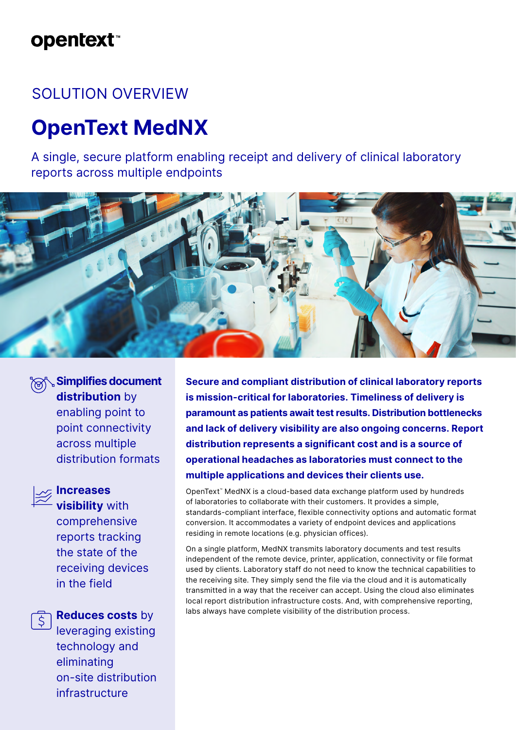### **opentext**™

### SOLUTION OVERVIEW

# **OpenText MedNX**

A single, secure platform enabling receipt and delivery of clinical laboratory reports across multiple endpoints



**Simplifies document distribution** by enabling point to point connectivity across multiple distribution formats

## $\bar{z}$  Increases

**visibility** with comprehensive reports tracking the state of the receiving devices in the field

**Reduces costs** by

leveraging existing technology and eliminating on-site distribution infrastructure

**Secure and compliant distribution of clinical laboratory reports is mission-critical for laboratories. Timeliness of delivery is paramount as patients await test results. Distribution bottlenecks and lack of delivery visibility are also ongoing concerns. Report distribution represents a significant cost and is a source of operational headaches as laboratories must connect to the multiple applications and devices their clients use.**

OpenText™ MedNX is a cloud-based data exchange platform used by hundreds of laboratories to collaborate with their customers. It provides a simple, standards-compliant interface, flexible connectivity options and automatic format conversion. It accommodates a variety of endpoint devices and applications residing in remote locations (e.g. physician offices).

On a single platform, MedNX transmits laboratory documents and test results independent of the remote device, printer, application, connectivity or file format used by clients. Laboratory staff do not need to know the technical capabilities to the receiving site. They simply send the file via the cloud and it is automatically transmitted in a way that the receiver can accept. Using the cloud also eliminates local report distribution infrastructure costs. And, with comprehensive reporting, labs always have complete visibility of the distribution process.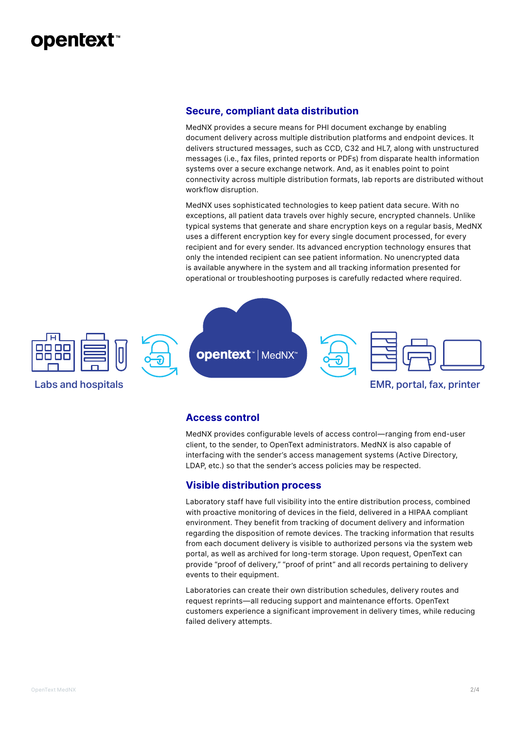### **opentext™**

#### **Secure, compliant data distribution**

MedNX provides a secure means for PHI document exchange by enabling document delivery across multiple distribution platforms and endpoint devices. It delivers structured messages, such as CCD, C32 and HL7, along with unstructured messages (i.e., fax files, printed reports or PDFs) from disparate health information systems over a secure exchange network. And, as it enables point to point connectivity across multiple distribution formats, lab reports are distributed without workflow disruption.

MedNX uses sophisticated technologies to keep patient data secure. With no exceptions, all patient data travels over highly secure, encrypted channels. Unlike typical systems that generate and share encryption keys on a regular basis, MedNX uses a different encryption key for every single document processed, for every recipient and for every sender. Its advanced encryption technology ensures that only the intended recipient can see patient information. No unencrypted data is available anywhere in the system and all tracking information presented for operational or troubleshooting purposes is carefully redacted where required.



#### **Access control**

MedNX provides configurable levels of access control—ranging from end-user client, to the sender, to OpenText administrators. MedNX is also capable of interfacing with the sender's access management systems (Active Directory, LDAP, etc.) so that the sender's access policies may be respected.

### **Visible distribution process**

Laboratory staff have full visibility into the entire distribution process, combined with proactive monitoring of devices in the field, delivered in a HIPAA compliant environment. They benefit from tracking of document delivery and information regarding the disposition of remote devices. The tracking information that results from each document delivery is visible to authorized persons via the system web portal, as well as archived for long-term storage. Upon request, OpenText can provide "proof of delivery," "proof of print" and all records pertaining to delivery events to their equipment.

Laboratories can create their own distribution schedules, delivery routes and request reprints—all reducing support and maintenance efforts. OpenText customers experience a significant improvement in delivery times, while reducing failed delivery attempts.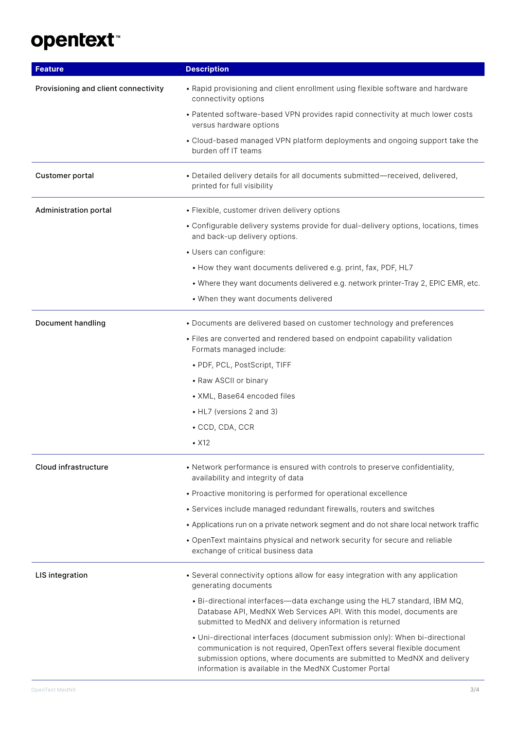# opentext<sup>\*</sup>

| <b>Feature</b>                       | <b>Description</b>                                                                                                                                                                                                                                                                           |
|--------------------------------------|----------------------------------------------------------------------------------------------------------------------------------------------------------------------------------------------------------------------------------------------------------------------------------------------|
| Provisioning and client connectivity | • Rapid provisioning and client enrollment using flexible software and hardware<br>connectivity options                                                                                                                                                                                      |
|                                      | • Patented software-based VPN provides rapid connectivity at much lower costs<br>versus hardware options                                                                                                                                                                                     |
|                                      | • Cloud-based managed VPN platform deployments and ongoing support take the<br>burden off IT teams                                                                                                                                                                                           |
| <b>Customer portal</b>               | • Detailed delivery details for all documents submitted-received, delivered,<br>printed for full visibility                                                                                                                                                                                  |
| Administration portal                | • Flexible, customer driven delivery options                                                                                                                                                                                                                                                 |
|                                      | • Configurable delivery systems provide for dual-delivery options, locations, times<br>and back-up delivery options.                                                                                                                                                                         |
|                                      | • Users can configure:                                                                                                                                                                                                                                                                       |
|                                      | • How they want documents delivered e.g. print, fax, PDF, HL7                                                                                                                                                                                                                                |
|                                      | • Where they want documents delivered e.g. network printer-Tray 2, EPIC EMR, etc.                                                                                                                                                                                                            |
|                                      | • When they want documents delivered                                                                                                                                                                                                                                                         |
| Document handling                    | • Documents are delivered based on customer technology and preferences                                                                                                                                                                                                                       |
|                                      | • Files are converted and rendered based on endpoint capability validation<br>Formats managed include:                                                                                                                                                                                       |
|                                      | • PDF, PCL, PostScript, TIFF                                                                                                                                                                                                                                                                 |
|                                      | • Raw ASCII or binary                                                                                                                                                                                                                                                                        |
|                                      | • XML, Base64 encoded files                                                                                                                                                                                                                                                                  |
|                                      | • HL7 (versions 2 and 3)                                                                                                                                                                                                                                                                     |
|                                      | • CCD, CDA, CCR                                                                                                                                                                                                                                                                              |
|                                      | $\cdot$ X12                                                                                                                                                                                                                                                                                  |
| Cloud infrastructure                 | • Network performance is ensured with controls to preserve confidentiality,<br>availability and integrity of data                                                                                                                                                                            |
|                                      | • Proactive monitoring is performed for operational excellence                                                                                                                                                                                                                               |
|                                      | • Services include managed redundant firewalls, routers and switches                                                                                                                                                                                                                         |
|                                      | • Applications run on a private network segment and do not share local network traffic                                                                                                                                                                                                       |
|                                      | • OpenText maintains physical and network security for secure and reliable<br>exchange of critical business data                                                                                                                                                                             |
| LIS integration                      | • Several connectivity options allow for easy integration with any application<br>generating documents                                                                                                                                                                                       |
|                                      | • Bi-directional interfaces-data exchange using the HL7 standard, IBM MQ,<br>Database API, MedNX Web Services API. With this model, documents are<br>submitted to MedNX and delivery information is returned                                                                                 |
|                                      | • Uni-directional interfaces (document submission only): When bi-directional<br>communication is not required, OpenText offers several flexible document<br>submission options, where documents are submitted to MedNX and delivery<br>information is available in the MedNX Customer Portal |